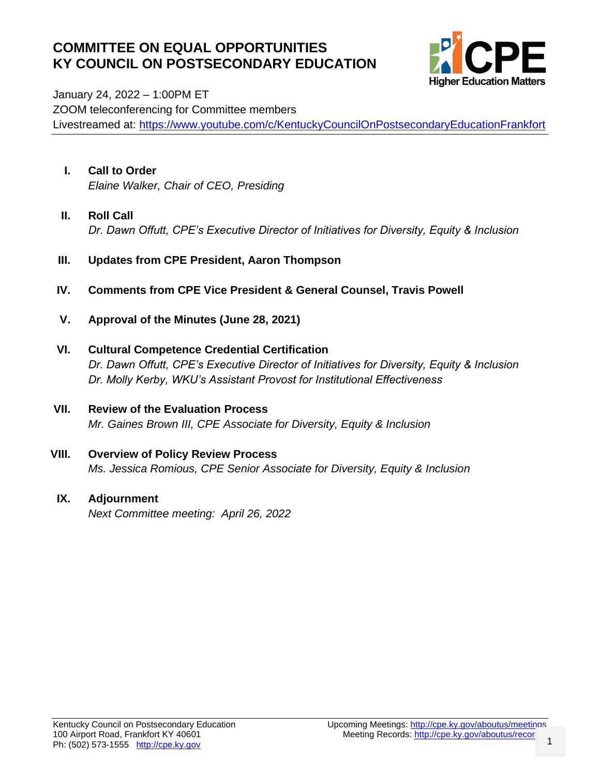### **COMMITTEE ON EQUAL OPPORTUNITIES KY COUNCIL ON POSTSECONDARY EDUCATION**



January 24, 2022 – 1:00PM ET ZOOM teleconferencing for Committee members Livestreamed at:<https://www.youtube.com/c/KentuckyCouncilOnPostsecondaryEducationFrankfort>

- **I. Call to Order** *Elaine Walker, Chair of CEO, Presiding*
- **II. Roll Call** *Dr. Dawn Offutt, CPE's Executive Director of Initiatives for Diversity, Equity & Inclusion*
- **III. Updates from CPE President, Aaron Thompson**
- **IV. Comments from CPE Vice President & General Counsel, Travis Powell**
- **V. Approval of the Minutes (June 28, 2021)**
- **VI. Cultural Competence Credential Certification** *Dr. Dawn Offutt, CPE's Executive Director of Initiatives for Diversity, Equity & Inclusion Dr. Molly Kerby, WKU's Assistant Provost for Institutional Effectiveness*
- **VII. Review of the Evaluation Process** *Mr. Gaines Brown III, CPE Associate for Diversity, Equity & Inclusion*
- **VIII. Overview of Policy Review Process** *Ms. Jessica Romious, CPE Senior Associate for Diversity, Equity & Inclusion*
- **IX. Adjournment** *Next Committee meeting: April 26, 2022*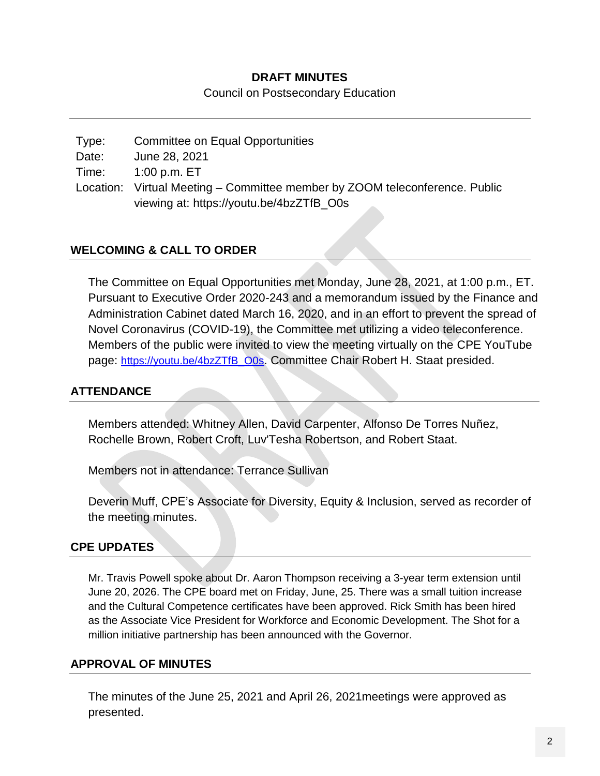#### **DRAFT MINUTES**

Council on Postsecondary Education

| Type: | Committee on Equal Opportunities                                            |
|-------|-----------------------------------------------------------------------------|
| Date: | June 28, 2021                                                               |
| Time: | 1:00 p.m. ET                                                                |
|       | Location: Virtual Meeting – Committee member by ZOOM teleconference. Public |
|       | viewing at: https://youtu.be/4bzZTfB_O0s                                    |

#### **WELCOMING & CALL TO ORDER**

The Committee on Equal Opportunities met Monday, June 28, 2021, at 1:00 p.m., ET. Pursuant to Executive Order 2020-243 and a memorandum issued by the Finance and Administration Cabinet dated March 16, 2020, and in an effort to prevent the spread of Novel Coronavirus (COVID-19), the Committee met utilizing a video teleconference. Members of the public were invited to view the meeting virtually on the CPE YouTube page: [https://youtu.be/4bzZTfB\\_O0s](https://youtu.be/4bzZTfB_O0s). Committee Chair Robert H. Staat presided.

#### **ATTENDANCE**

Members attended: Whitney Allen, David Carpenter, Alfonso De Torres Nuñez, Rochelle Brown, Robert Croft, Luv'Tesha Robertson, and Robert Staat.

Members not in attendance: Terrance Sullivan

Deverin Muff, CPE's Associate for Diversity, Equity & Inclusion, served as recorder of the meeting minutes.

#### **CPE UPDATES**

Mr. Travis Powell spoke about Dr. Aaron Thompson receiving a 3-year term extension until June 20, 2026. The CPE board met on Friday, June, 25. There was a small tuition increase and the Cultural Competence certificates have been approved. Rick Smith has been hired as the Associate Vice President for Workforce and Economic Development. The Shot for a million initiative partnership has been announced with the Governor.

#### **APPROVAL OF MINUTES**

The minutes of the June 25, 2021 and April 26, 2021meetings were approved as presented.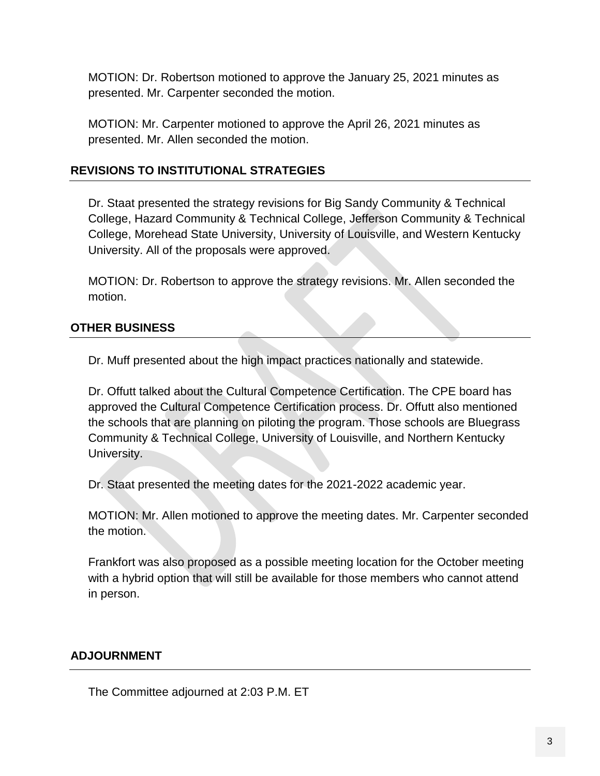MOTION: Dr. Robertson motioned to approve the January 25, 2021 minutes as presented. Mr. Carpenter seconded the motion.

MOTION: Mr. Carpenter motioned to approve the April 26, 2021 minutes as presented. Mr. Allen seconded the motion.

#### **REVISIONS TO INSTITUTIONAL STRATEGIES**

Dr. Staat presented the strategy revisions for Big Sandy Community & Technical College, Hazard Community & Technical College, Jefferson Community & Technical College, Morehead State University, University of Louisville, and Western Kentucky University. All of the proposals were approved.

MOTION: Dr. Robertson to approve the strategy revisions. Mr. Allen seconded the motion.

#### **OTHER BUSINESS**

Dr. Muff presented about the high impact practices nationally and statewide.

Dr. Offutt talked about the Cultural Competence Certification. The CPE board has approved the Cultural Competence Certification process. Dr. Offutt also mentioned the schools that are planning on piloting the program. Those schools are Bluegrass Community & Technical College, University of Louisville, and Northern Kentucky University.

Dr. Staat presented the meeting dates for the 2021-2022 academic year.

MOTION: Mr. Allen motioned to approve the meeting dates. Mr. Carpenter seconded the motion.

Frankfort was also proposed as a possible meeting location for the October meeting with a hybrid option that will still be available for those members who cannot attend in person.

#### **ADJOURNMENT**

The Committee adjourned at 2:03 P.M. ET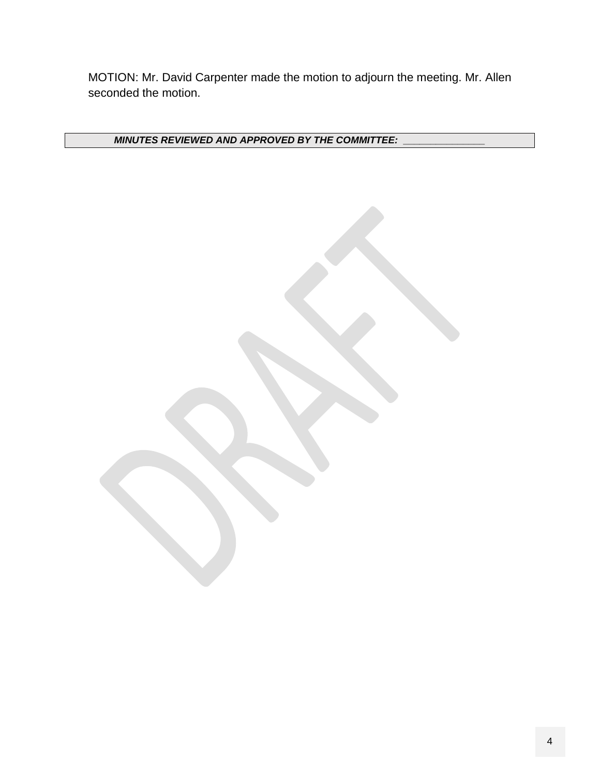MOTION: Mr. David Carpenter made the motion to adjourn the meeting. Mr. Allen seconded the motion.

*MINUTES REVIEWED AND APPROVED BY THE COMMITTEE: \_\_\_\_\_\_\_\_\_\_\_\_\_\_\_*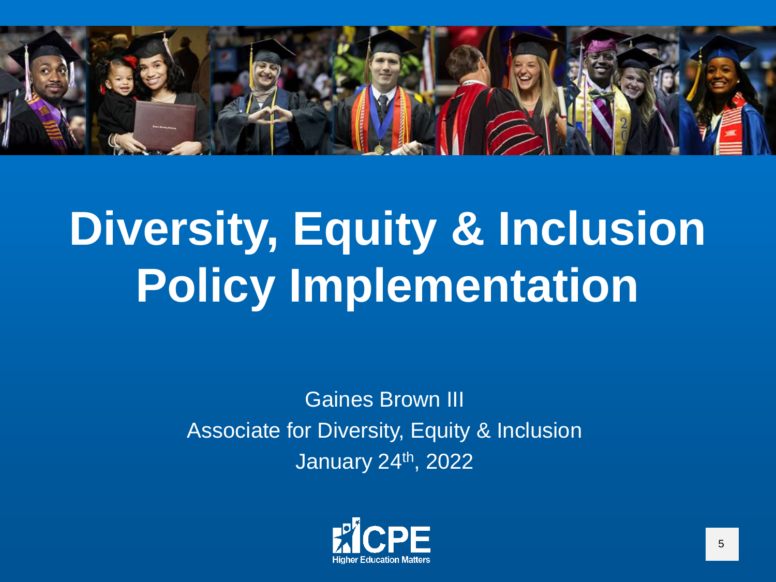

# **Diversity, Equity & Inclusion Policy Implementation**

Gaines Brown III Associate for Diversity, Equity & Inclusion January 24th, 2022

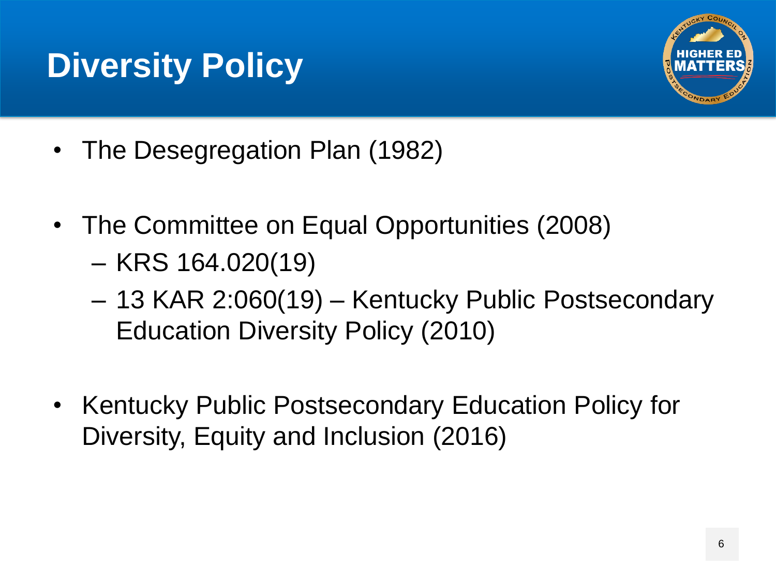### **Diversity Policy**



- The Desegregation Plan (1982)
- The Committee on Equal Opportunities (2008)
	- KRS 164.020(19)
	- 13 KAR 2:060(19) Kentucky Public Postsecondary Education Diversity Policy (2010)
- Kentucky Public Postsecondary Education Policy for Diversity, Equity and Inclusion (2016)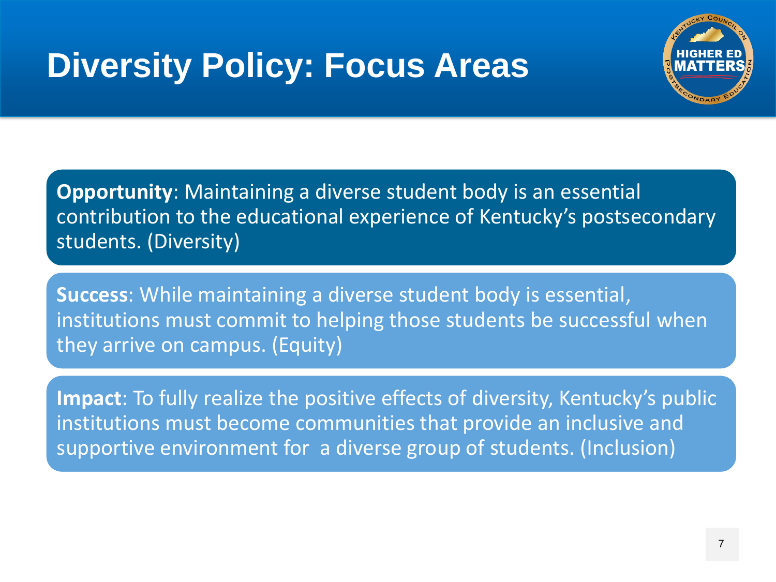### **Diversity Policy: Focus Areas**



**Opportunity**: Maintaining a diverse student body is an essential contribution to the educational experience of Kentucky's postsecondary students. (Diversity)

**Success**: While maintaining a diverse student body is essential, institutions must commit to helping those students be successful when they arrive on campus. (Equity)

**Impact**: To fully realize the positive effects of diversity, Kentucky's public institutions must become communities that provide an inclusive and supportive environment for a diverse group of students. (Inclusion)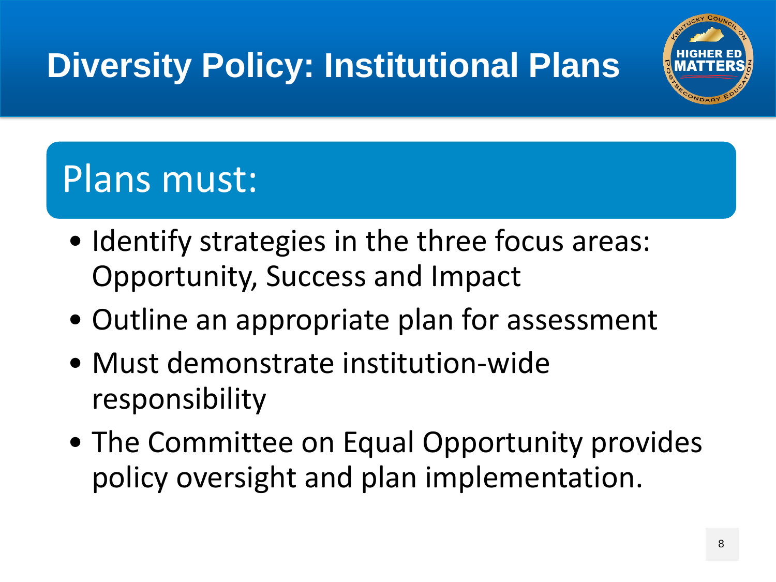## **Diversity Policy: Institutional Plans**



### Plans must:

- Identify strategies in the three focus areas: Opportunity, Success and Impact
- Outline an appropriate plan for assessment
- Must demonstrate institution-wide responsibility
- The Committee on Equal Opportunity provides policy oversight and plan implementation.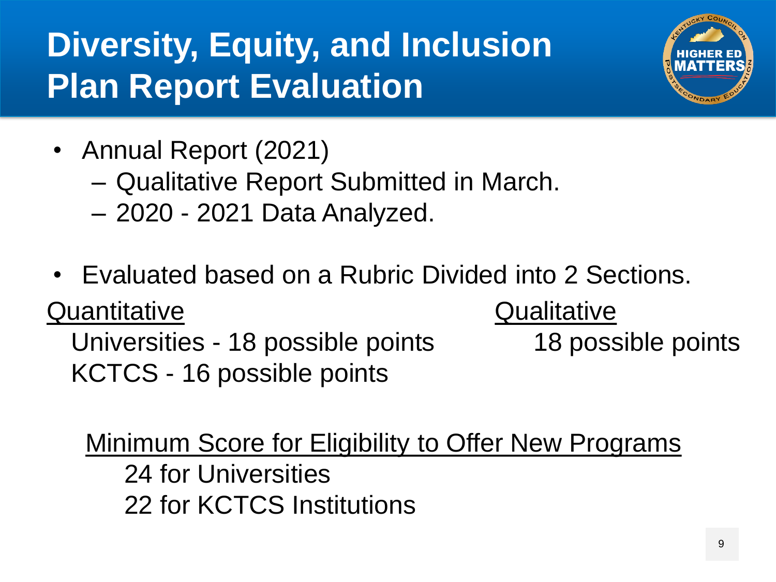### **Diversity, Equity, and Inclusion Plan Report Evaluation**



- Annual Report (2021)
	- Qualitative Report Submitted in March.
	- 2020 2021 Data Analyzed.
- Evaluated based on a Rubric Divided into 2 Sections.

**Quantitative** 

Universities - 18 possible points KCTCS - 16 possible points

**Qualitative** 

18 possible points

Minimum Score for Eligibility to Offer New Programs 24 for Universities

22 for KCTCS Institutions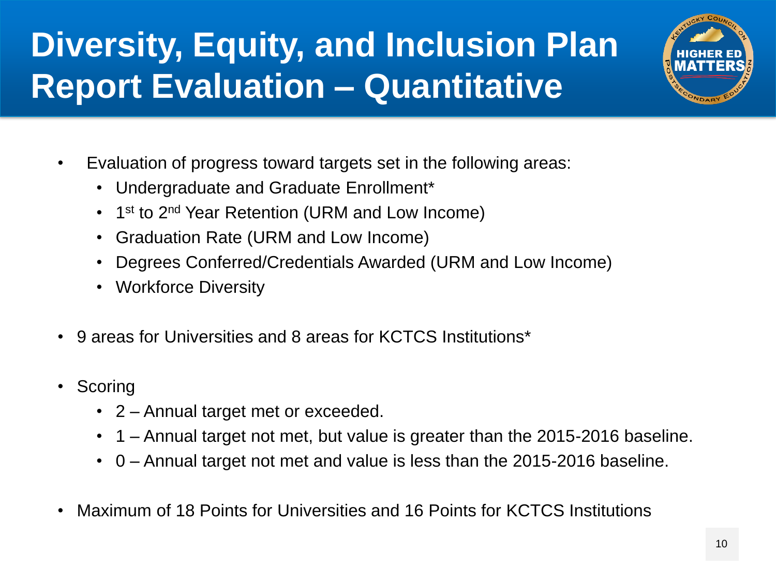### **Diversity, Equity, and Inclusion Plan Report Evaluation – Quantitative**



- Evaluation of progress toward targets set in the following areas:
	- Undergraduate and Graduate Enrollment\*
	- 1<sup>st</sup> to 2<sup>nd</sup> Year Retention (URM and Low Income)
	- Graduation Rate (URM and Low Income)
	- Degrees Conferred/Credentials Awarded (URM and Low Income)
	- Workforce Diversity
- 9 areas for Universities and 8 areas for KCTCS Institutions\*
- Scoring
	- 2 Annual target met or exceeded.
	- 1 Annual target not met, but value is greater than the 2015-2016 baseline.
	- 0 Annual target not met and value is less than the 2015-2016 baseline.
- Maximum of 18 Points for Universities and 16 Points for KCTCS Institutions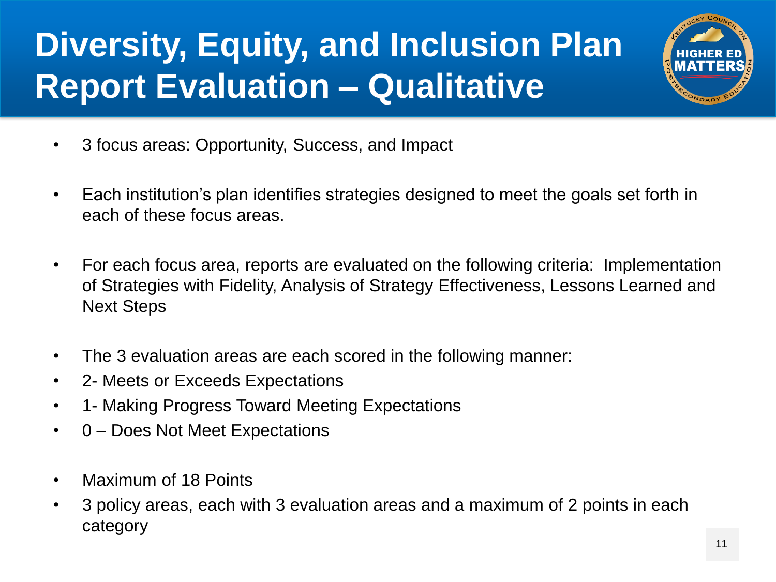### **Diversity, Equity, and Inclusion Plan Report Evaluation – Qualitative**



- 3 focus areas: Opportunity, Success, and Impact
- Each institution's plan identifies strategies designed to meet the goals set forth in each of these focus areas.
- For each focus area, reports are evaluated on the following criteria: Implementation of Strategies with Fidelity, Analysis of Strategy Effectiveness, Lessons Learned and Next Steps
- The 3 evaluation areas are each scored in the following manner:
- 2- Meets or Exceeds Expectations
- 1- Making Progress Toward Meeting Expectations
- 0 Does Not Meet Expectations
- Maximum of 18 Points
- 3 policy areas, each with 3 evaluation areas and a maximum of 2 points in each category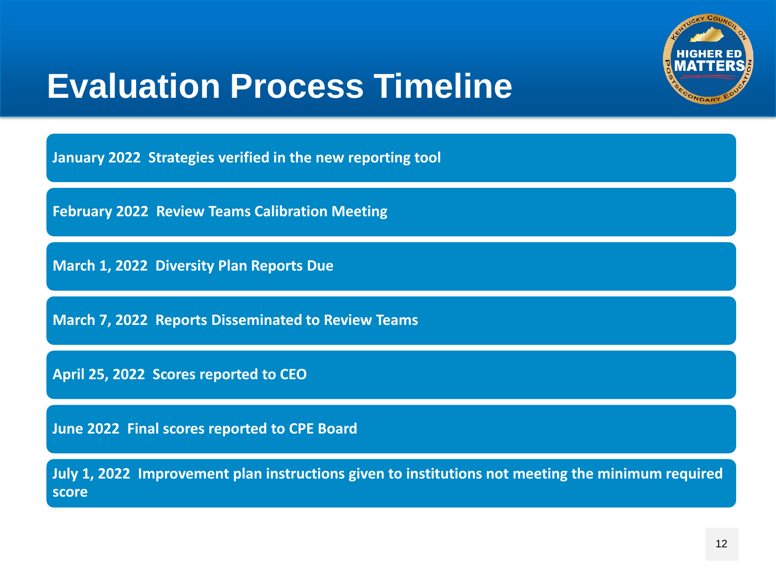

### **Evaluation Process Timeline**

**January 2022 Strategies verified in the new reporting tool**

**February 2022 Review Teams Calibration Meeting**

**March 1, 2022 Diversity Plan Reports Due**

**March 7, 2022 Reports Disseminated to Review Teams**

**April 25, 2022 Scores reported to CEO**

**June 2022 Final scores reported to CPE Board**

**July 1, 2022 Improvement plan instructions given to institutions not meeting the minimum required score**